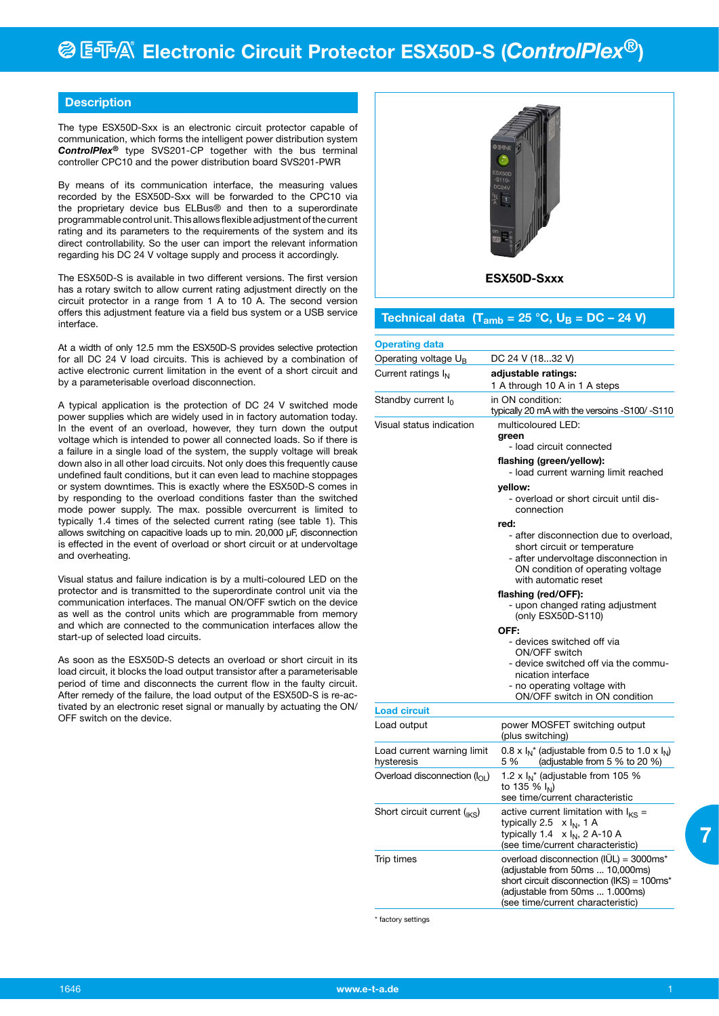### **Description**

The type ESX50D-Sxx is an electronic circuit protector capable of communication, which forms the intelligent power distribution system *ControlPlex®* type SVS201-CP together with the bus terminal controller CPC10 and the power distribution board SVS201-PWR

By means of its communication interface, the measuring values recorded by the ESX50D-Sxx will be forwarded to the CPC10 via the proprietary device bus ELBus® and then to a superordinate programmable control unit. This allows flexible adjustment of the current rating and its parameters to the requirements of the system and its direct controllability. So the user can import the relevant information regarding his DC 24 V voltage supply and process it accordingly.

The ESX50D-S is available in two different versions. The first version has a rotary switch to allow current rating adjustment directly on the circuit protector in a range from 1 A to 10 A. The second version offers this adjustment feature via a field bus system or a USB service interface.

At a width of only 12.5 mm the ESX50D-S provides selective protection for all DC 24 V load circuits. This is achieved by a combination of active electronic current limitation in the event of a short circuit and by a parameterisable overload disconnection.

A typical application is the protection of DC 24 V switched mode power supplies which are widely used in in factory automation today. In the event of an overload, however, they turn down the output voltage which is intended to power all connected loads. So if there is a failure in a single load of the system, the supply voltage will break down also in all other load circuits. Not only does this frequently cause undefined fault conditions, but it can even lead to machine stoppages or system downtimes. This is exactly where the ESX50D-S comes in by responding to the overload conditions faster than the switched mode power supply. The max. possible overcurrent is limited to typically 1.4 times of the selected current rating (see table 1). This allows switching on capacitive loads up to min. 20,000 µF, disconnection is effected in the event of overload or short circuit or at undervoltage and overheating.

Visual status and failure indication is by a multi-coloured LED on the protector and is transmitted to the superordinate control unit via the communication interfaces. The manual ON/OFF swtich on the device as well as the control units which are programmable from memory and which are connected to the communication interfaces allow the start-up of selected load circuits.

As soon as the ESX50D-S detects an overload or short circuit in its load circuit, it blocks the load output transistor after a parameterisable period of time and disconnects the current flow in the faulty circuit. After remedy of the failure, the load output of the ESX50D-S is re-activated by an electronic reset signal or manually by actuating the ON/ OFF switch on the device.



## **Technical data (T**<sub>amb</sub> = 25 °C,  $U_B$  = DC - 24 V)

| <b>Operating data</b>                    |                                                                                                                                                                                                  |  |  |
|------------------------------------------|--------------------------------------------------------------------------------------------------------------------------------------------------------------------------------------------------|--|--|
| Operating voltage $U_B$                  | DC 24 V (1832 V)                                                                                                                                                                                 |  |  |
| Current ratings I <sub>N</sub>           | adjustable ratings:<br>1 A through 10 A in 1 A steps                                                                                                                                             |  |  |
| Standby current I <sub>0</sub>           | in ON condition:<br>typically 20 mA with the versoins -S100/-S110                                                                                                                                |  |  |
| Visual status indication                 | multicoloured LED:<br>green<br>- load circuit connected                                                                                                                                          |  |  |
|                                          | flashing (green/yellow):<br>- load current warning limit reached                                                                                                                                 |  |  |
|                                          | yellow:<br>- overload or short circuit until dis-<br>connection                                                                                                                                  |  |  |
|                                          | red:                                                                                                                                                                                             |  |  |
|                                          | - after disconnection due to overload,<br>short circuit or temperature<br>- after undervoltage disconnection in<br>ON condition of operating voltage<br>with automatic reset                     |  |  |
|                                          | flashing (red/OFF):<br>- upon changed rating adjustment<br>(only ESX50D-S110)                                                                                                                    |  |  |
|                                          | OFF:                                                                                                                                                                                             |  |  |
|                                          | - devices switched off via<br>ON/OFF switch<br>- device switched off via the commu-<br>nication interface<br>- no operating voltage with<br>ON/OFF switch in ON condition                        |  |  |
| <b>Load circuit</b>                      |                                                                                                                                                                                                  |  |  |
| Load output                              | power MOSFET switching output<br>(plus switching)                                                                                                                                                |  |  |
| Load current warning limit<br>hysteresis | 0.8 x $I_N^*$ (adjustable from 0.5 to 1.0 x $I_N$ )<br>(adjustable from 5 $%$ to 20 $%$ )<br>5 %                                                                                                 |  |  |
| Overload disconnection $(I_{\cap I})$    | 1.2 x $I_N^*$ (adjustable from 105 %<br>to 135 % $I_{N}$ )<br>see time/current characteristic                                                                                                    |  |  |
| Short circuit current $_{\text{IKS}}$ )  | active current limitation with $I_{KS}$ =<br>typically 2.5<br>x I <sub>N</sub> , 1 A<br>typically 1.4<br>$x I_N$ , 2 A-10 A<br>(see time/current characteristic)                                 |  |  |
| Trip times                               | overload disconnection (IUL) = 3000ms*<br>(adjustable from 50ms  10,000ms)<br>short circuit disconnection (IKS) = 100ms*<br>(adjustable from 50ms  1.000ms)<br>(see time/current characteristic) |  |  |

\* factory settings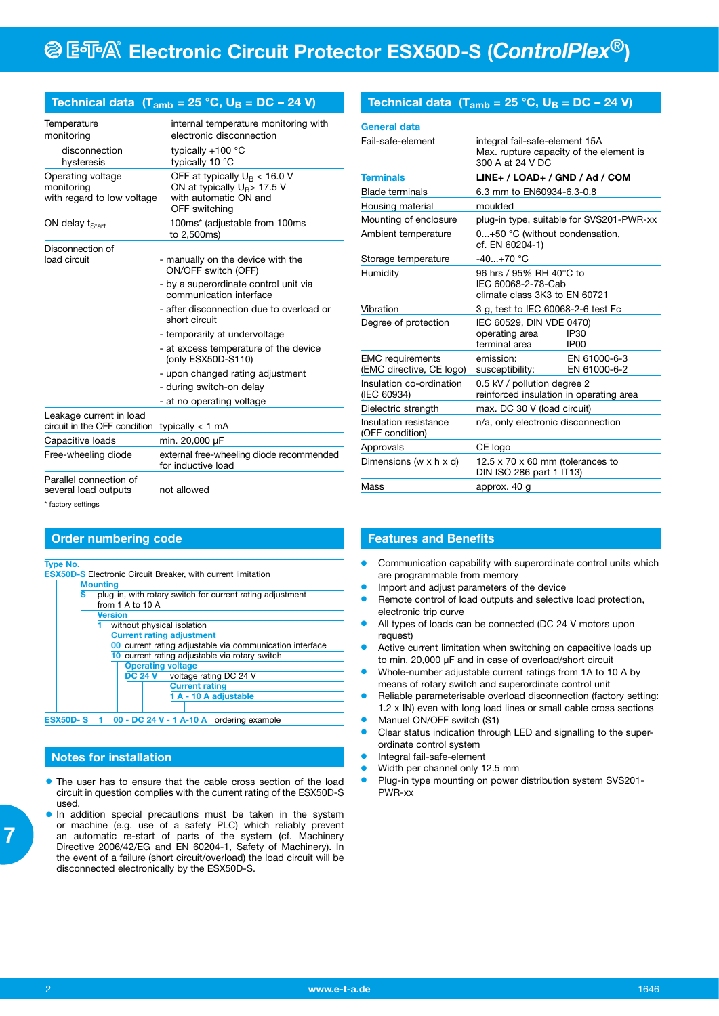|                                                               | 1echnical data (1 <sub>amb</sub> = 25 °C, U <sub>B</sub> = DC – 24 V)                                       |
|---------------------------------------------------------------|-------------------------------------------------------------------------------------------------------------|
| Temperature<br>monitoring                                     | internal temperature monitoring with<br>electronic disconnection                                            |
| disconnection<br>hysteresis                                   | typically $+100$ °C<br>typically 10 °C                                                                      |
| Operating voltage<br>monitoring<br>with regard to low voltage | OFF at typically $U_B < 16.0 V$<br>ON at typically $U_B$ > 17.5 V<br>with automatic ON and<br>OFF switching |
| ON delay t <sub>Start</sub>                                   | 100ms* (adjustable from 100ms<br>to 2,500ms)                                                                |
| Disconnection of<br>load circuit                              | - manually on the device with the<br>ON/OFF switch (OFF)                                                    |
|                                                               | - by a superordinate control unit via<br>communication interface                                            |
|                                                               | - after disconnection due to overload or<br>short circuit                                                   |
|                                                               | - temporarily at undervoltage                                                                               |
|                                                               | - at excess temperature of the device<br>(only ESX50D-S110)                                                 |
|                                                               | - upon changed rating adjustment                                                                            |
|                                                               | - during switch-on delay                                                                                    |
|                                                               | - at no operating voltage                                                                                   |
| Leakage current in load<br>circuit in the OFF condition       | typically < 1 mA                                                                                            |
| Capacitive loads                                              | min. 20,000 µF                                                                                              |
| Free-wheeling diode                                           | external free-wheeling diode recommended<br>for inductive load                                              |
| Parallel connection of<br>several load outputs                | not allowed                                                                                                 |
| * factory settings                                            |                                                                                                             |

## **Order numbering code**

| <b>Type No.</b>                                                                                                                                                            |  |  |  |  |  |                                                            |  |  |  |  |  |
|----------------------------------------------------------------------------------------------------------------------------------------------------------------------------|--|--|--|--|--|------------------------------------------------------------|--|--|--|--|--|
| <b>ESX50D-S Electronic Circuit Breaker, with current limitation</b>                                                                                                        |  |  |  |  |  |                                                            |  |  |  |  |  |
| <b>Mounting</b>                                                                                                                                                            |  |  |  |  |  |                                                            |  |  |  |  |  |
| s<br>plug-in, with rotary switch for current rating adjustment<br>from $1$ A to $10$ A<br><b>Version</b><br>without physical isolation<br><b>Current rating adjustment</b> |  |  |  |  |  |                                                            |  |  |  |  |  |
|                                                                                                                                                                            |  |  |  |  |  | 00 current rating adjustable via communication interface   |  |  |  |  |  |
|                                                                                                                                                                            |  |  |  |  |  | 10 current rating adjustable via rotary switch             |  |  |  |  |  |
|                                                                                                                                                                            |  |  |  |  |  | <b>Operating voltage</b><br>DC 24 V voltage rating DC 24 V |  |  |  |  |  |
| <b>Current rating</b>                                                                                                                                                      |  |  |  |  |  |                                                            |  |  |  |  |  |
| 1 A - 10 A adjustable                                                                                                                                                      |  |  |  |  |  |                                                            |  |  |  |  |  |
|                                                                                                                                                                            |  |  |  |  |  |                                                            |  |  |  |  |  |
| ESX50D-S $1$ 00 - DC 24 V - 1 A-10 A ordering example                                                                                                                      |  |  |  |  |  |                                                            |  |  |  |  |  |

### **Notes for installation**

- The user has to ensure that the cable cross section of the load circuit in question complies with the current rating of the ESX50D-S used.
- **.** In addition special precautions must be taken in the system or machine (e.g. use of a safety PLC) which reliably prevent an automatic re-start of parts of the system (cf. Machinery Directive 2006/42/EG and EN 60204-1, Safety of Machinery). In the event of a failure (short circuit/overload) the load circuit will be disconnected electronically by the ESX50D-S.

## Technical data  $(T_{amb} = 25 \degree C, U_B = DC - 24 V)$

| <b>General data</b>                                 |                                                                                                |                              |  |
|-----------------------------------------------------|------------------------------------------------------------------------------------------------|------------------------------|--|
| Fail-safe-element                                   | integral fail-safe-element 15A<br>Max. rupture capacity of the element is<br>300 A at 24 V DC  |                              |  |
| <b>Terminals</b>                                    | LINE+ / LOAD+ / GND / Ad / COM                                                                 |                              |  |
| <b>Blade terminals</b>                              | 6.3 mm to EN60934-6.3-0.8                                                                      |                              |  |
| Housing material                                    | moulded                                                                                        |                              |  |
| Mounting of enclosure                               | plug-in type, suitable for SVS201-PWR-xx                                                       |                              |  |
| Ambient temperature                                 | 0+50 °C (without condensation,<br>cf. EN 60204-1)                                              |                              |  |
| Storage temperature                                 | $-40+70$ °C                                                                                    |                              |  |
| Humidity                                            | 96 hrs / 95% RH 40°C to<br>IEC 60068-2-78-Cab<br>climate class 3K3 to EN 60721                 |                              |  |
| Vibration                                           | 3 g, test to IEC 60068-2-6 test Fc                                                             |                              |  |
| Degree of protection                                | IEC 60529, DIN VDE 0470)<br>operating area<br><b>IP30</b><br>terminal area<br>IP <sub>00</sub> |                              |  |
| <b>EMC</b> requirements<br>(EMC directive, CE logo) | emission:<br>susceptibility:                                                                   | EN 61000-6-3<br>EN 61000-6-2 |  |
| Insulation co-ordination<br>(IEC 60934)             | 0.5 kV / pollution degree 2<br>reinforced insulation in operating area                         |                              |  |
| Dielectric strength                                 | max. DC 30 V (load circuit)                                                                    |                              |  |
| Insulation resistance<br>(OFF condition)            | n/a, only electronic disconnection                                                             |                              |  |
| Approvals                                           | CE logo                                                                                        |                              |  |
| Dimensions (w x h x d)                              | 12.5 $\times$ 70 $\times$ 60 mm (tolerances to<br>DIN ISO 286 part 1 IT13)                     |                              |  |
| Mass                                                | approx. 40 g                                                                                   |                              |  |

### **Features and Benefits**

- **•** Communication capability with superordinate control units which are programmable from memory
- Import and adjust parameters of the device
- **e** Remote control of load outputs and selective load protection, electronic trip curve
- All types of loads can be connected (DC 24 V motors upon request)
- Active current limitation when switching on capacitive loads up to min. 20,000 µF and in case of overload/short circuit
- Whole-number adjustable current ratings from 1A to 10 A by means of rotary switch and superordinate control unit
- Reliable parameterisable overload disconnection (factory setting: 1.2 x IN) even with long load lines or small cable cross sections
- Manuel ON/OFF switch (S1)
- Clear status indication through LED and signalling to the superordinate control system
- Integral fail-safe-element
- Width per channel only 12.5 mm
- **•** Plug-in type mounting on power distribution system SVS201-PWR-xx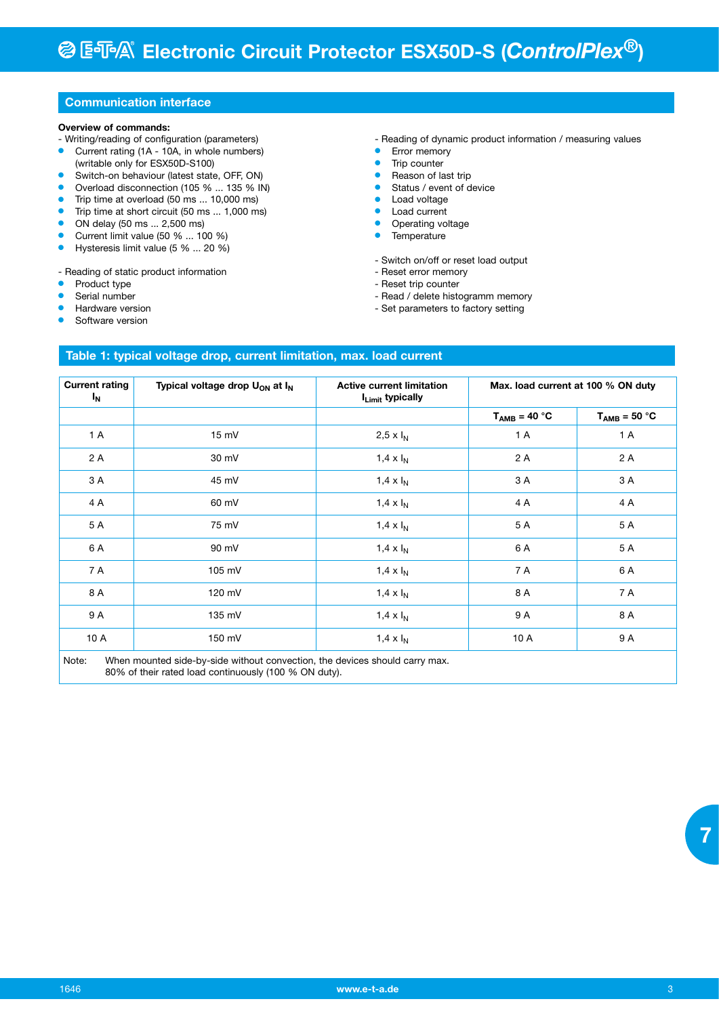### **Communication interface**

#### **Overview of commands:**

- Writing/reading of configuration (parameters) **Current rating (1A - 10A, in whole numbers)**
- (writable only for ESX50D-S100)
- Switch-on behaviour (latest state, OFF, ON)
- Overload disconnection (105 % ... 135 % IN)
- Trip time at overload (50 ms ... 10,000 ms)
- $\bullet$  Trip time at short circuit (50 ms ... 1,000 ms)
- $\bullet$  ON delay (50 ms  $\dots$  2,500 ms)
- **Current limit value (50 % ... 100 %)**
- Hysteresis limit value  $(5, 96, \ldots, 20, 96)$

- Reading of static product information

- Product type
- Serial number
- Hardware version
- Software version

- Reading of dynamic product information / measuring values

- **•** Error memory
- $\bullet$  Trip counter
- **•** Reason of last trip
- $\bullet$  Status / event of device
- **C** Load voltage
- Load current
- Operating voltage
- **•** Temperature
- Switch on/off or reset load output
- Reset error memory
- Reset trip counter
- Read / delete histogramm memory
- Set parameters to factory setting

# **Table 1: typical voltage drop, current limitation, max. load current**

| <b>Current rating</b><br>I <sub>N</sub> | Typical voltage drop U <sub>ON</sub> at I <sub>N</sub> | <b>Active current limitation</b><br>I <sub>Limit</sub> typically | Max. load current at 100 % ON duty |                   |
|-----------------------------------------|--------------------------------------------------------|------------------------------------------------------------------|------------------------------------|-------------------|
|                                         |                                                        |                                                                  | $T_{AMB} = 40 °C$                  | $T_{AMB} = 50 °C$ |
| 1 A                                     | 15 mV                                                  | 2,5 x $I_N$                                                      | 1 A                                | 1A                |
| 2 A                                     | 30 mV                                                  | 1,4 $\times$ $I_N$                                               | 2 A                                | 2 A               |
| 3 A                                     | 45 mV                                                  | 1,4 $\times$ $I_N$                                               | 3 A                                | 3 A               |
| 4 A                                     | 60 mV                                                  | $1.4 \times I_N$                                                 | 4 A                                | 4 A               |
| 5 A                                     | 75 mV                                                  | 1,4 $\times$ $I_N$                                               | 5 A                                | 5 A               |
| 6 A                                     | 90 mV                                                  | 1,4 $\times$ $I_N$                                               | 6 A                                | 5 A               |
| 7 A                                     | 105 mV                                                 | $1.4 \times I_N$                                                 | 7 A                                | 6 A               |
| 8 A                                     | 120 mV                                                 | 1,4 $\times$ $I_N$                                               | 8 A                                | 7 A               |
| 9 A                                     | 135 mV                                                 | $1.4 \times I_N$                                                 | 9 A                                | 8 A               |
| 10A                                     | 150 mV                                                 | $1.4 \times I_N$                                                 | 10 A                               | 9 A               |

Note: When mounted side-by-side without convection, the devices should carry max. 80% of their rated load continuously (100 % ON duty).

 **7**